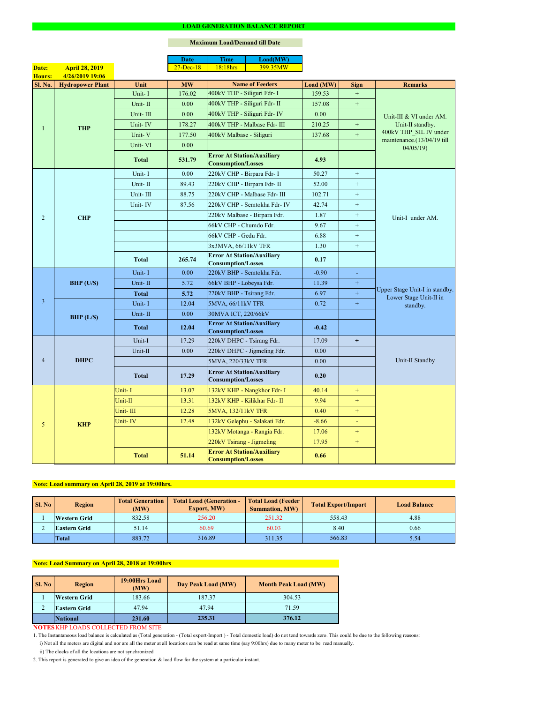|                |                         |              | <b>Date</b>   | <b>Time</b>                                                    | Load(MW)                      |           |                  |                                                                      |  |
|----------------|-------------------------|--------------|---------------|----------------------------------------------------------------|-------------------------------|-----------|------------------|----------------------------------------------------------------------|--|
| Date:          | <b>April 28, 2019</b>   |              | $27 - Dec-18$ | 18:18hrs                                                       | 399.35MW                      |           |                  |                                                                      |  |
| <b>Hours:</b>  | 4/26/2019 19:06         |              |               |                                                                |                               |           |                  |                                                                      |  |
| <b>Sl. No.</b> | <b>Hydropower Plant</b> | Unit         | <b>MW</b>     |                                                                | <b>Name of Feeders</b>        | Load (MW) | <b>Sign</b>      | <b>Remarks</b>                                                       |  |
|                |                         | Unit-I       | 176.02        | 400kV THP - Siliguri Fdr- I                                    |                               | 159.53    | $\boldsymbol{+}$ |                                                                      |  |
|                |                         | Unit-II      | 0.00          | 400kV THP - Siliguri Fdr- II                                   |                               | 157.08    | $\boldsymbol{+}$ |                                                                      |  |
|                |                         | Unit-III     | 0.00          |                                                                | 400kV THP - Siliguri Fdr- IV  | 0.00      |                  | Unit-III & VI under AM.                                              |  |
| 1              | <b>THP</b>              | Unit-IV      | 178.27        |                                                                | 400kV THP - Malbase Fdr- III  | 210.25    | $+$              | Unit-II standby.                                                     |  |
|                |                         | Unit-V       | 177.50        | 400kV Malbase - Siliguri                                       |                               | 137.68    | $\boldsymbol{+}$ | 400kV THP_SIL IV under<br>maintenance.(13/04/19 till<br>04/05/19     |  |
|                |                         | Unit-VI      | 0.00          |                                                                |                               |           |                  |                                                                      |  |
|                |                         | <b>Total</b> | 531.79        | <b>Error At Station/Auxiliary</b><br><b>Consumption/Losses</b> |                               | 4.93      |                  |                                                                      |  |
|                |                         | Unit-I       | 0.00          | 220kV CHP - Birpara Fdr- I                                     |                               | 50.27     | $\pm$            |                                                                      |  |
|                |                         | Unit-II      | 89.43         | 220kV CHP - Birpara Fdr- II                                    |                               | 52.00     | $+$              |                                                                      |  |
|                |                         | Unit-III     | 88.75         |                                                                | 220kV CHP - Malbase Fdr- III  | 102.71    | $+$              |                                                                      |  |
|                |                         | Unit-IV      | 87.56         |                                                                | 220kV CHP - Semtokha Fdr- IV  | 42.74     | $+$              |                                                                      |  |
| $\overline{2}$ | <b>CHP</b>              |              |               |                                                                | 220kV Malbase - Birpara Fdr.  | 1.87      | $+$              | Unit-I under AM.                                                     |  |
|                |                         |              |               | 66kV CHP - Chumdo Fdr.                                         |                               | 9.67      | $\boldsymbol{+}$ |                                                                      |  |
|                |                         |              |               | 66kV CHP - Gedu Fdr.                                           |                               | 6.88      | $+$              |                                                                      |  |
|                |                         |              |               | 3x3MVA, 66/11kV TFR                                            |                               | 1.30      | $+$              |                                                                      |  |
|                |                         | <b>Total</b> | 265.74        | <b>Error At Station/Auxiliary</b><br><b>Consumption/Losses</b> |                               | 0.17      |                  |                                                                      |  |
|                | BHP (U/S)               | Unit-I       | 0.00          | 220kV BHP - Semtokha Fdr.                                      |                               | $-0.90$   | $\blacksquare$   | Upper Stage Unit-I in standby.<br>Lower Stage Unit-II in<br>standby. |  |
|                |                         | Unit-II      | 5.72          | 66kV BHP - Lobeysa Fdr.                                        |                               | 11.39     | $+$              |                                                                      |  |
|                |                         | <b>Total</b> | 5.72          | 220kV BHP - Tsirang Fdr.                                       |                               | 6.97      | $+$              |                                                                      |  |
| $\overline{3}$ |                         | Unit-I       | 12.04         | 5MVA, 66/11kV TFR                                              |                               | 0.72      | $\pm$            |                                                                      |  |
|                | BHP (L/S)               | Unit-II      | 0.00          | 30MVA ICT, 220/66kV                                            |                               |           |                  |                                                                      |  |
|                |                         | <b>Total</b> | 12.04         | <b>Error At Station/Auxiliary</b><br><b>Consumption/Losses</b> |                               | $-0.42$   |                  |                                                                      |  |
|                | <b>DHPC</b>             | Unit-I       | 17.29         | 220kV DHPC - Tsirang Fdr.                                      |                               | 17.09     | $+$              |                                                                      |  |
|                |                         | Unit-II      | 0.00          |                                                                | 220kV DHPC - Jigmeling Fdr.   | 0.00      |                  |                                                                      |  |
| $\overline{4}$ |                         |              |               | 5MVA, 220/33kV TFR                                             |                               | 0.00      |                  | Unit-II Standby                                                      |  |
|                |                         | <b>Total</b> | 17.29         | <b>Error At Station/Auxiliary</b><br><b>Consumption/Losses</b> |                               | 0.20      |                  |                                                                      |  |
|                |                         | Unit-I       | 13.07         |                                                                | 132kV KHP - Nangkhor Fdr- I   | 40.14     | $+$              |                                                                      |  |
|                |                         | Unit-II      | 13.31         |                                                                | 132kV KHP - Kilikhar Fdr- II  | 9.94      | $+$              |                                                                      |  |
|                | <b>KHP</b>              | Unit-III     | 12.28         | 5MVA, 132/11kV TFR                                             |                               | 0.40      | $+$              |                                                                      |  |
| 5              |                         | Unit-IV      | 12.48         |                                                                | 132kV Gelephu - Salakati Fdr. | $-8.66$   | ÷                |                                                                      |  |
|                |                         |              |               |                                                                | 132kV Motanga - Rangia Fdr.   | 17.06     | $+$              |                                                                      |  |
|                |                         |              |               | 220kV Tsirang - Jigmeling                                      |                               | 17.95     | $+$              |                                                                      |  |
|                |                         | <b>Total</b> | 51.14         | <b>Error At Station/Auxiliary</b><br><b>Consumption/Losses</b> |                               | 0.66      |                  |                                                                      |  |

#### **LOAD GENERATION BALANCE REPORT**

| Sl. No | <b>Region</b>       | <b>Total Generation</b><br>(MW) | <b>Total Load (Generation -</b><br><b>Export, MW)</b> | <b>Total Load (Feeder)</b><br><b>Summation, MW)</b> | <b>Total Export/Import</b> | <b>Load Balance</b> |
|--------|---------------------|---------------------------------|-------------------------------------------------------|-----------------------------------------------------|----------------------------|---------------------|
|        | <b>Western Grid</b> | 832.58                          | 256.20                                                | 251.32                                              | 558.43                     | 4.88                |
|        | <b>Eastern Grid</b> | 60.69<br>51.14                  |                                                       | 60.03                                               | 8.40                       | 0.66                |
|        | <b>Total</b>        | 883.72                          | 316.89                                                | 311.35                                              | 566.83                     | 5.54                |

| SI. No | <b>Region</b>       | 19:00Hrs Load<br>(MW) | Day Peak Load (MW) | <b>Month Peak Load (MW)</b> |  |
|--------|---------------------|-----------------------|--------------------|-----------------------------|--|
|        | <b>Western Grid</b> | 183.66                | 187.37             | 304.53                      |  |
| $\sim$ | <b>Eastern Grid</b> | 47.94                 | 47.94              | 71.59                       |  |
|        | <b>National</b>     | 231.60                | 235.31             | 376.12                      |  |

### **NOTES KHP LOADS COLLECTED FROM SITE**

i) Not all the meters are digital and nor are all the meter at all locations can be read at same time (say 9:00hrs) due to many meter to be read manually.

# **Note: Load Summary on April 28, 2018 at 19:00hrs**

1. The Instantaneous load balance is calculated as (Total generation - (Total export-Import ) - Total domestic load) do not tend towards zero. This could be due to the following reasons:

# **Note: Load summary on April 28, 2019 at 19:00hrs.**

2. This report is generated to give an idea of the generation & load flow for the system at a particular instant.

### **Maximum Load/Demand till Date**

ii) The clocks of all the locations are not synchronized